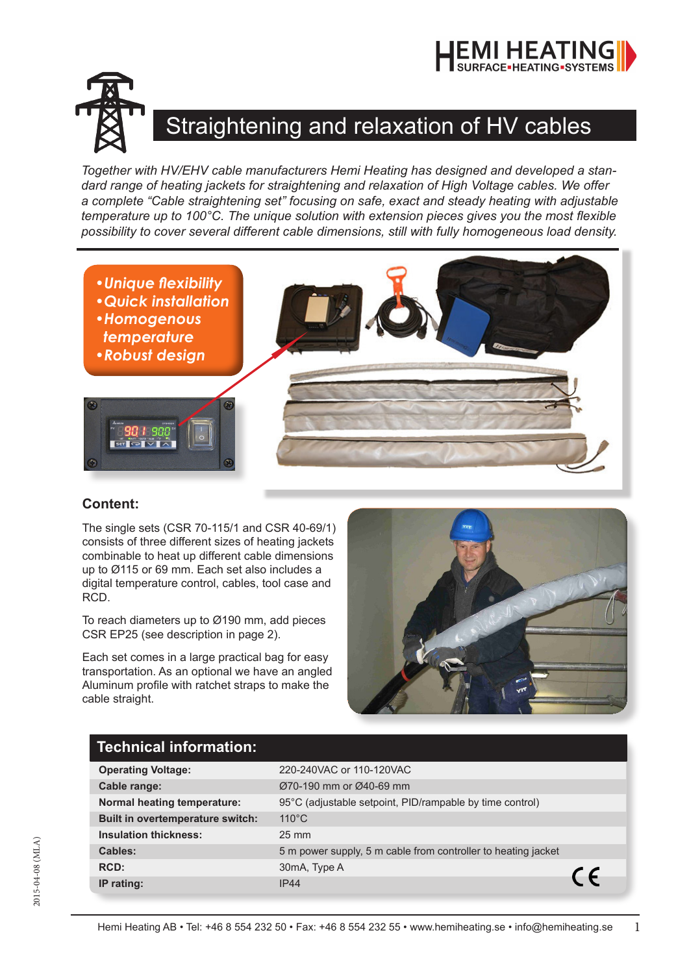



## Straightening and relaxation of HV cables

*Together with HV/EHV cable manufacturers Hemi Heating has designed and developed a standard range of heating jackets for straightening and relaxation of High Voltage cables. We offer a complete "Cable straightening set" focusing on safe, exact and steady heating with adjustable temperature up to 100°C. The unique solution with extension pieces gives you the most flexible possibility to cover several different cable dimensions, still with fully homogeneous load density.*



## **Content:**

The single sets (CSR 70-115/1 and CSR 40-69/1) consists of three different sizes of heating jackets combinable to heat up different cable dimensions up to Ø115 or 69 mm. Each set also includes a digital temperature control, cables, tool case and RCD.

To reach diameters up to Ø190 mm, add pieces CSR EP25 (see description in page 2).

Each set comes in a large practical bag for easy transportation. As an optional we have an angled Aluminum profile with ratchet straps to make the cable straight.



## **Technical information:**

| <b>Operating Voltage:</b>               | 220-240VAC or 110-120VAC                                      |            |
|-----------------------------------------|---------------------------------------------------------------|------------|
| Cable range:                            | Ø70-190 mm or Ø40-69 mm                                       |            |
| Normal heating temperature:             | 95°C (adjustable setpoint, PID/rampable by time control)      |            |
| <b>Built in overtemperature switch:</b> | $110^{\circ}$ C                                               |            |
| <b>Insulation thickness:</b>            | $25 \text{ mm}$                                               |            |
| Cables:                                 | 5 m power supply, 5 m cable from controller to heating jacket |            |
| RCD:                                    | 30mA, Type A                                                  |            |
| IP rating:                              | <b>IP44</b>                                                   | $\epsilon$ |